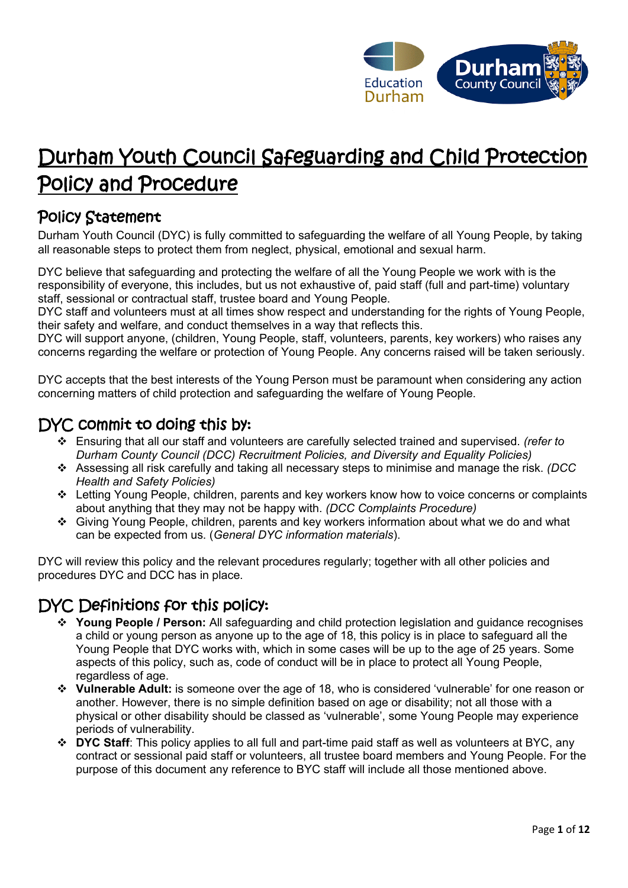

# Durham Youth Council Safeguarding and Child Protection Policy and Procedure

### Policy Statement

Durham Youth Council (DYC) is fully committed to safeguarding the welfare of all Young People, by taking all reasonable steps to protect them from neglect, physical, emotional and sexual harm.

DYC believe that safeguarding and protecting the welfare of all the Young People we work with is the responsibility of everyone, this includes, but us not exhaustive of, paid staff (full and part-time) voluntary staff, sessional or contractual staff, trustee board and Young People.

DYC staff and volunteers must at all times show respect and understanding for the rights of Young People, their safety and welfare, and conduct themselves in a way that reflects this.

DYC will support anyone, (children, Young People, staff, volunteers, parents, key workers) who raises any concerns regarding the welfare or protection of Young People. Any concerns raised will be taken seriously.

DYC accepts that the best interests of the Young Person must be paramount when considering any action concerning matters of child protection and safeguarding the welfare of Young People.

### DYC commit to doing this by:

- ❖ Ensuring that all our staff and volunteers are carefully selected trained and supervised. *(refer to Durham County Council (DCC) Recruitment Policies, and Diversity and Equality Policies)*
- ❖ Assessing all risk carefully and taking all necessary steps to minimise and manage the risk. *(DCC Health and Safety Policies)*
- ❖ Letting Young People, children, parents and key workers know how to voice concerns or complaints about anything that they may not be happy with. *(DCC Complaints Procedure)*
- ❖ Giving Young People, children, parents and key workers information about what we do and what can be expected from us. (*General DYC information materials*).

DYC will review this policy and the relevant procedures regularly; together with all other policies and procedures DYC and DCC has in place.

## DYC Definitions for this policy:

- ❖ **Young People / Person:** All safeguarding and child protection legislation and guidance recognises a child or young person as anyone up to the age of 18, this policy is in place to safeguard all the Young People that DYC works with, which in some cases will be up to the age of 25 years. Some aspects of this policy, such as, code of conduct will be in place to protect all Young People, regardless of age.
- ❖ **Vulnerable Adult:** is someone over the age of 18, who is considered 'vulnerable' for one reason or another. However, there is no simple definition based on age or disability; not all those with a physical or other disability should be classed as 'vulnerable', some Young People may experience periods of vulnerability.
- ❖ **DYC Staff**: This policy applies to all full and part-time paid staff as well as volunteers at BYC, any contract or sessional paid staff or volunteers, all trustee board members and Young People. For the purpose of this document any reference to BYC staff will include all those mentioned above.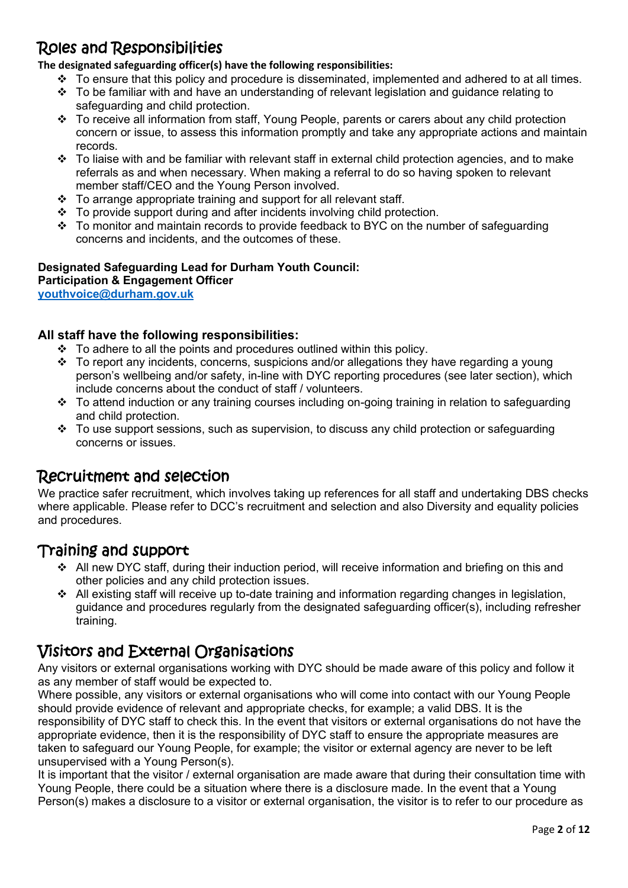# Roles and Responsibilities

**The designated safeguarding officer(s) have the following responsibilities:**

- ❖ To ensure that this policy and procedure is disseminated, implemented and adhered to at all times.
- ❖ To be familiar with and have an understanding of relevant legislation and guidance relating to safeguarding and child protection.
- ❖ To receive all information from staff, Young People, parents or carers about any child protection concern or issue, to assess this information promptly and take any appropriate actions and maintain records.
- ❖ To liaise with and be familiar with relevant staff in external child protection agencies, and to make referrals as and when necessary. When making a referral to do so having spoken to relevant member staff/CEO and the Young Person involved.
- $\div$  To arrange appropriate training and support for all relevant staff.
- ❖ To provide support during and after incidents involving child protection.
- ❖ To monitor and maintain records to provide feedback to BYC on the number of safeguarding concerns and incidents, and the outcomes of these.

### **Designated Safeguarding Lead for Durham Youth Council:**

**Participation & Engagement Officer** 

**[youthvoice@durham.gov.uk](mailto:catharine.harwood@durham.gov.uk)**

### **All staff have the following responsibilities:**

- ❖ To adhere to all the points and procedures outlined within this policy.
- ❖ To report any incidents, concerns, suspicions and/or allegations they have regarding a young person's wellbeing and/or safety, in-line with DYC reporting procedures (see later section), which include concerns about the conduct of staff / volunteers.
- ❖ To attend induction or any training courses including on-going training in relation to safeguarding and child protection.
- $\div$  To use support sessions, such as supervision, to discuss any child protection or safeguarding concerns or issues.

### Recruitment and selection

We practice safer recruitment, which involves taking up references for all staff and undertaking DBS checks where applicable. Please refer to DCC's recruitment and selection and also Diversity and equality policies and procedures.

### Training and support

- ❖ All new DYC staff, during their induction period, will receive information and briefing on this and other policies and any child protection issues.
- ❖ All existing staff will receive up to-date training and information regarding changes in legislation, guidance and procedures regularly from the designated safeguarding officer(s), including refresher training.

### Visitors and External Organisations

Any visitors or external organisations working with DYC should be made aware of this policy and follow it as any member of staff would be expected to.

Where possible, any visitors or external organisations who will come into contact with our Young People should provide evidence of relevant and appropriate checks, for example; a valid DBS. It is the responsibility of DYC staff to check this. In the event that visitors or external organisations do not have the appropriate evidence, then it is the responsibility of DYC staff to ensure the appropriate measures are taken to safeguard our Young People, for example; the visitor or external agency are never to be left unsupervised with a Young Person(s).

It is important that the visitor / external organisation are made aware that during their consultation time with Young People, there could be a situation where there is a disclosure made. In the event that a Young Person(s) makes a disclosure to a visitor or external organisation, the visitor is to refer to our procedure as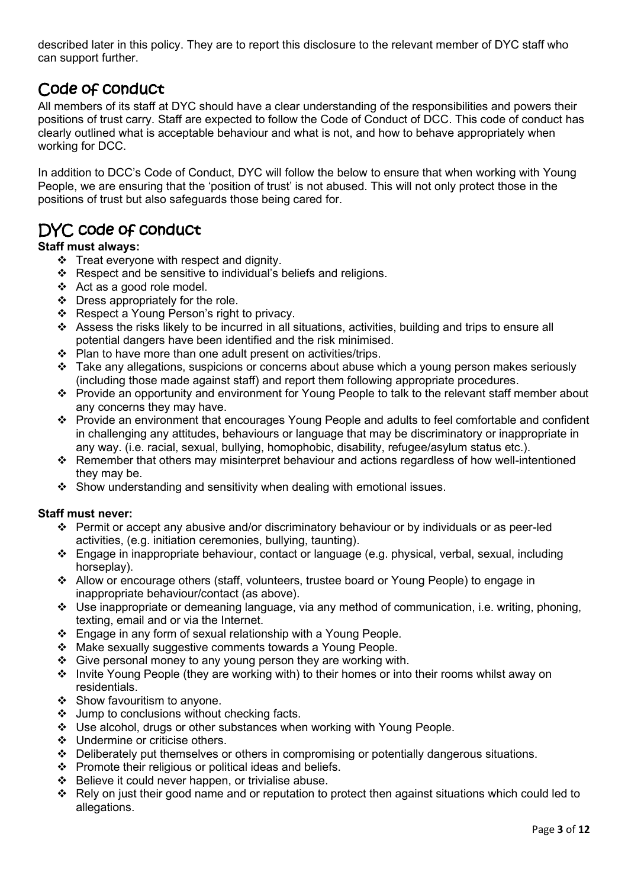described later in this policy. They are to report this disclosure to the relevant member of DYC staff who can support further.

# Code of conduct

All members of its staff at DYC should have a clear understanding of the responsibilities and powers their positions of trust carry. Staff are expected to follow the Code of Conduct of DCC. This code of conduct has clearly outlined what is acceptable behaviour and what is not, and how to behave appropriately when working for DCC.

In addition to DCC's Code of Conduct, DYC will follow the below to ensure that when working with Young People, we are ensuring that the 'position of trust' is not abused. This will not only protect those in the positions of trust but also safeguards those being cared for.

## DYC code of conduct

### **Staff must always:**

- ❖ Treat everyone with respect and dignity.
- ❖ Respect and be sensitive to individual's beliefs and religions.
- ❖ Act as a good role model.
- ❖ Dress appropriately for the role.
- ❖ Respect a Young Person's right to privacy.
- ❖ Assess the risks likely to be incurred in all situations, activities, building and trips to ensure all potential dangers have been identified and the risk minimised.
- ❖ Plan to have more than one adult present on activities/trips.
- ❖ Take any allegations, suspicions or concerns about abuse which a young person makes seriously (including those made against staff) and report them following appropriate procedures.
- ❖ Provide an opportunity and environment for Young People to talk to the relevant staff member about any concerns they may have.
- ❖ Provide an environment that encourages Young People and adults to feel comfortable and confident in challenging any attitudes, behaviours or language that may be discriminatory or inappropriate in any way. (i.e. racial, sexual, bullying, homophobic, disability, refugee/asylum status etc.).
- ❖ Remember that others may misinterpret behaviour and actions regardless of how well-intentioned they may be.
- ❖ Show understanding and sensitivity when dealing with emotional issues.

### **Staff must never:**

- ❖ Permit or accept any abusive and/or discriminatory behaviour or by individuals or as peer-led activities, (e.g. initiation ceremonies, bullying, taunting).
- ❖ Engage in inappropriate behaviour, contact or language (e.g. physical, verbal, sexual, including horseplay).
- ❖ Allow or encourage others (staff, volunteers, trustee board or Young People) to engage in inappropriate behaviour/contact (as above).
- ❖ Use inappropriate or demeaning language, via any method of communication, i.e. writing, phoning, texting, email and or via the Internet.
- ❖ Engage in any form of sexual relationship with a Young People.
- ❖ Make sexually suggestive comments towards a Young People.
- ❖ Give personal money to any young person they are working with.
- ❖ Invite Young People (they are working with) to their homes or into their rooms whilst away on residentials.
- ❖ Show favouritism to anyone.
- ❖ Jump to conclusions without checking facts.
- ❖ Use alcohol, drugs or other substances when working with Young People.
- ❖ Undermine or criticise others.
- ❖ Deliberately put themselves or others in compromising or potentially dangerous situations.
- ❖ Promote their religious or political ideas and beliefs.
- ❖ Believe it could never happen, or trivialise abuse.
- ❖ Rely on just their good name and or reputation to protect then against situations which could led to allegations.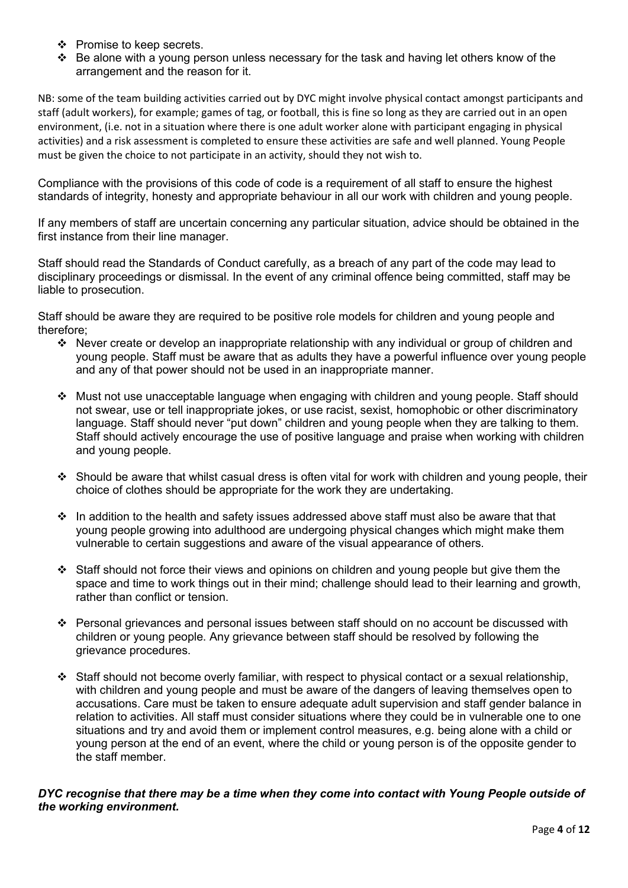- ❖ Promise to keep secrets.
- ❖ Be alone with a young person unless necessary for the task and having let others know of the arrangement and the reason for it.

NB: some of the team building activities carried out by DYC might involve physical contact amongst participants and staff (adult workers), for example; games of tag, or football, this is fine so long as they are carried out in an open environment, (i.e. not in a situation where there is one adult worker alone with participant engaging in physical activities) and a risk assessment is completed to ensure these activities are safe and well planned. Young People must be given the choice to not participate in an activity, should they not wish to.

Compliance with the provisions of this code of code is a requirement of all staff to ensure the highest standards of integrity, honesty and appropriate behaviour in all our work with children and young people.

If any members of staff are uncertain concerning any particular situation, advice should be obtained in the first instance from their line manager.

Staff should read the Standards of Conduct carefully, as a breach of any part of the code may lead to disciplinary proceedings or dismissal. In the event of any criminal offence being committed, staff may be liable to prosecution.

Staff should be aware they are required to be positive role models for children and young people and therefore;

- ❖ Never create or develop an inappropriate relationship with any individual or group of children and young people. Staff must be aware that as adults they have a powerful influence over young people and any of that power should not be used in an inappropriate manner.
- ❖ Must not use unacceptable language when engaging with children and young people. Staff should not swear, use or tell inappropriate jokes, or use racist, sexist, homophobic or other discriminatory language. Staff should never "put down" children and young people when they are talking to them. Staff should actively encourage the use of positive language and praise when working with children and young people.
- ❖ Should be aware that whilst casual dress is often vital for work with children and young people, their choice of clothes should be appropriate for the work they are undertaking.
- $\cdot \cdot$  In addition to the health and safety issues addressed above staff must also be aware that that young people growing into adulthood are undergoing physical changes which might make them vulnerable to certain suggestions and aware of the visual appearance of others.
- ❖ Staff should not force their views and opinions on children and young people but give them the space and time to work things out in their mind; challenge should lead to their learning and growth, rather than conflict or tension.
- ❖ Personal grievances and personal issues between staff should on no account be discussed with children or young people. Any grievance between staff should be resolved by following the grievance procedures.
- ❖ Staff should not become overly familiar, with respect to physical contact or a sexual relationship, with children and young people and must be aware of the dangers of leaving themselves open to accusations. Care must be taken to ensure adequate adult supervision and staff gender balance in relation to activities. All staff must consider situations where they could be in vulnerable one to one situations and try and avoid them or implement control measures, e.g. being alone with a child or young person at the end of an event, where the child or young person is of the opposite gender to the staff member.

#### *DYC recognise that there may be a time when they come into contact with Young People outside of the working environment.*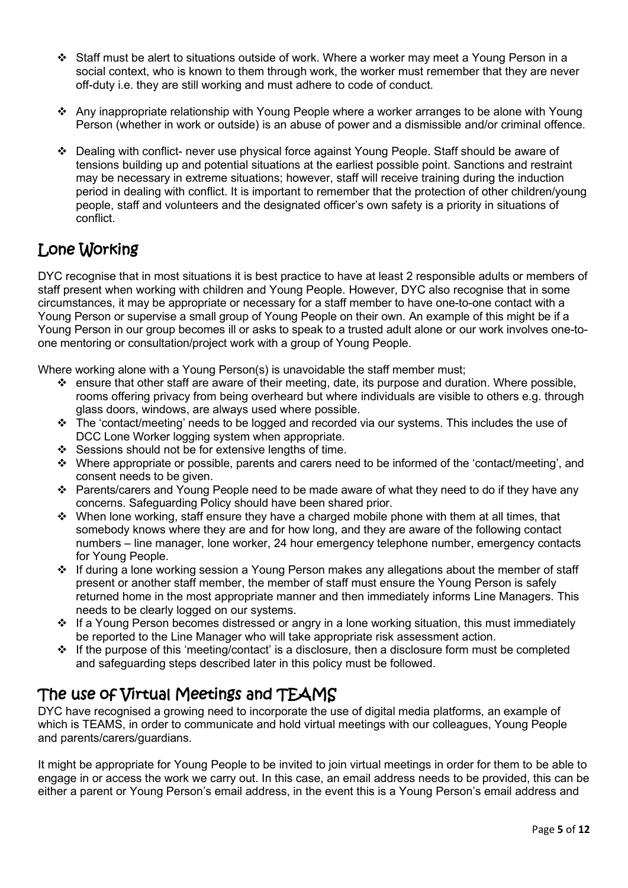- ❖ Staff must be alert to situations outside of work. Where a worker may meet a Young Person in a social context, who is known to them through work, the worker must remember that they are never off-duty i.e. they are still working and must adhere to code of conduct.
- ❖ Any inappropriate relationship with Young People where a worker arranges to be alone with Young Person (whether in work or outside) is an abuse of power and a dismissible and/or criminal offence.
- ❖ Dealing with conflict- never use physical force against Young People. Staff should be aware of tensions building up and potential situations at the earliest possible point. Sanctions and restraint may be necessary in extreme situations; however, staff will receive training during the induction period in dealing with conflict. It is important to remember that the protection of other children/young people, staff and volunteers and the designated officer's own safety is a priority in situations of conflict.

# Lone Working

DYC recognise that in most situations it is best practice to have at least 2 responsible adults or members of staff present when working with children and Young People. However, DYC also recognise that in some circumstances, it may be appropriate or necessary for a staff member to have one-to-one contact with a Young Person or supervise a small group of Young People on their own. An example of this might be if a Young Person in our group becomes ill or asks to speak to a trusted adult alone or our work involves one-toone mentoring or consultation/project work with a group of Young People.

Where working alone with a Young Person(s) is unavoidable the staff member must;

- $\cdot \cdot$  ensure that other staff are aware of their meeting, date, its purpose and duration. Where possible, rooms offering privacy from being overheard but where individuals are visible to others e.g. through glass doors, windows, are always used where possible.
- ❖ The 'contact/meeting' needs to be logged and recorded via our systems. This includes the use of DCC Lone Worker logging system when appropriate.
- ❖ Sessions should not be for extensive lengths of time.
- ❖ Where appropriate or possible, parents and carers need to be informed of the 'contact/meeting', and consent needs to be given.
- ❖ Parents/carers and Young People need to be made aware of what they need to do if they have any concerns. Safeguarding Policy should have been shared prior.
- ❖ When lone working, staff ensure they have a charged mobile phone with them at all times, that somebody knows where they are and for how long, and they are aware of the following contact numbers – line manager, lone worker, 24 hour emergency telephone number, emergency contacts for Young People.
- ❖ If during a lone working session a Young Person makes any allegations about the member of staff present or another staff member, the member of staff must ensure the Young Person is safely returned home in the most appropriate manner and then immediately informs Line Managers. This needs to be clearly logged on our systems.
- ❖ If a Young Person becomes distressed or angry in a lone working situation, this must immediately be reported to the Line Manager who will take appropriate risk assessment action.
- ❖ If the purpose of this 'meeting/contact' is a disclosure, then a disclosure form must be completed and safeguarding steps described later in this policy must be followed.

### The use of Virtual Meetings and TEAMS

DYC have recognised a growing need to incorporate the use of digital media platforms, an example of which is TEAMS, in order to communicate and hold virtual meetings with our colleagues, Young People and parents/carers/guardians.

It might be appropriate for Young People to be invited to join virtual meetings in order for them to be able to engage in or access the work we carry out. In this case, an email address needs to be provided, this can be either a parent or Young Person's email address, in the event this is a Young Person's email address and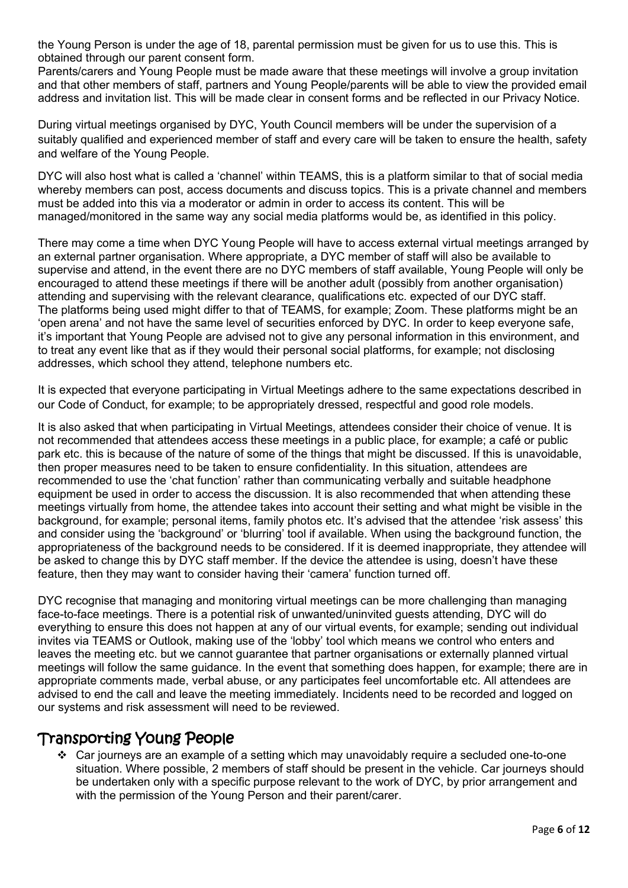the Young Person is under the age of 18, parental permission must be given for us to use this. This is obtained through our parent consent form.

Parents/carers and Young People must be made aware that these meetings will involve a group invitation and that other members of staff, partners and Young People/parents will be able to view the provided email address and invitation list. This will be made clear in consent forms and be reflected in our Privacy Notice.

During virtual meetings organised by DYC, Youth Council members will be under the supervision of a suitably qualified and experienced member of staff and every care will be taken to ensure the health, safety and welfare of the Young People.

DYC will also host what is called a 'channel' within TEAMS, this is a platform similar to that of social media whereby members can post, access documents and discuss topics. This is a private channel and members must be added into this via a moderator or admin in order to access its content. This will be managed/monitored in the same way any social media platforms would be, as identified in this policy.

There may come a time when DYC Young People will have to access external virtual meetings arranged by an external partner organisation. Where appropriate, a DYC member of staff will also be available to supervise and attend, in the event there are no DYC members of staff available, Young People will only be encouraged to attend these meetings if there will be another adult (possibly from another organisation) attending and supervising with the relevant clearance, qualifications etc. expected of our DYC staff. The platforms being used might differ to that of TEAMS, for example; Zoom. These platforms might be an 'open arena' and not have the same level of securities enforced by DYC. In order to keep everyone safe, it's important that Young People are advised not to give any personal information in this environment, and to treat any event like that as if they would their personal social platforms, for example; not disclosing addresses, which school they attend, telephone numbers etc.

It is expected that everyone participating in Virtual Meetings adhere to the same expectations described in our Code of Conduct, for example; to be appropriately dressed, respectful and good role models.

It is also asked that when participating in Virtual Meetings, attendees consider their choice of venue. It is not recommended that attendees access these meetings in a public place, for example; a café or public park etc. this is because of the nature of some of the things that might be discussed. If this is unavoidable, then proper measures need to be taken to ensure confidentiality. In this situation, attendees are recommended to use the 'chat function' rather than communicating verbally and suitable headphone equipment be used in order to access the discussion. It is also recommended that when attending these meetings virtually from home, the attendee takes into account their setting and what might be visible in the background, for example; personal items, family photos etc. It's advised that the attendee 'risk assess' this and consider using the 'background' or 'blurring' tool if available. When using the background function, the appropriateness of the background needs to be considered. If it is deemed inappropriate, they attendee will be asked to change this by DYC staff member. If the device the attendee is using, doesn't have these feature, then they may want to consider having their 'camera' function turned off.

DYC recognise that managing and monitoring virtual meetings can be more challenging than managing face-to-face meetings. There is a potential risk of unwanted/uninvited guests attending, DYC will do everything to ensure this does not happen at any of our virtual events, for example; sending out individual invites via TEAMS or Outlook, making use of the 'lobby' tool which means we control who enters and leaves the meeting etc. but we cannot guarantee that partner organisations or externally planned virtual meetings will follow the same guidance. In the event that something does happen, for example; there are in appropriate comments made, verbal abuse, or any participates feel uncomfortable etc. All attendees are advised to end the call and leave the meeting immediately. Incidents need to be recorded and logged on our systems and risk assessment will need to be reviewed.

### Transporting Young People

❖ Car journeys are an example of a setting which may unavoidably require a secluded one-to-one situation. Where possible, 2 members of staff should be present in the vehicle. Car journeys should be undertaken only with a specific purpose relevant to the work of DYC, by prior arrangement and with the permission of the Young Person and their parent/carer.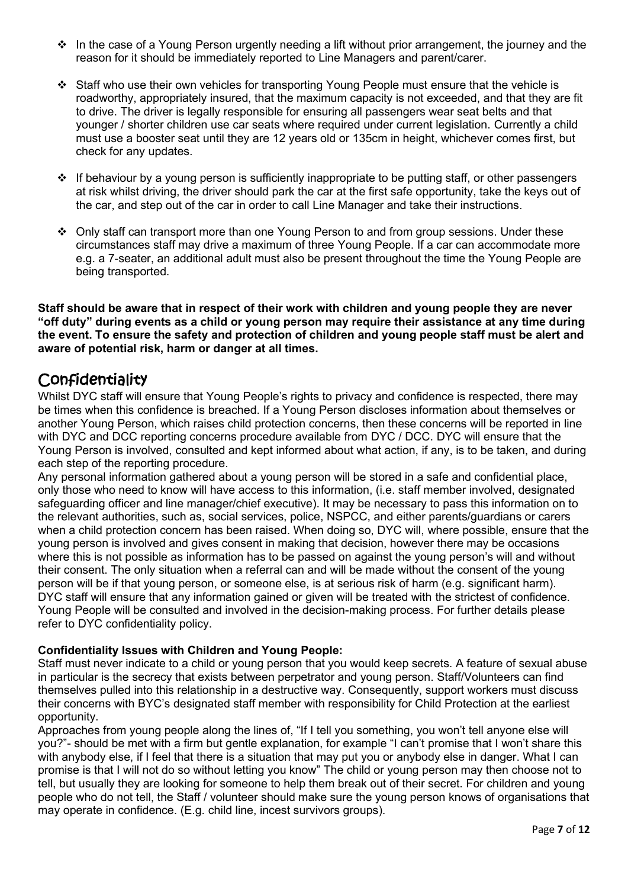- $\cdot \cdot$  In the case of a Young Person urgently needing a lift without prior arrangement, the journey and the reason for it should be immediately reported to Line Managers and parent/carer.
- ❖ Staff who use their own vehicles for transporting Young People must ensure that the vehicle is roadworthy, appropriately insured, that the maximum capacity is not exceeded, and that they are fit to drive. The driver is legally responsible for ensuring all passengers wear seat belts and that younger / shorter children use car seats where required under current legislation. Currently a child must use a booster seat until they are 12 years old or 135cm in height, whichever comes first, but check for any updates.
- ❖ If behaviour by a young person is sufficiently inappropriate to be putting staff, or other passengers at risk whilst driving, the driver should park the car at the first safe opportunity, take the keys out of the car, and step out of the car in order to call Line Manager and take their instructions.
- ❖ Only staff can transport more than one Young Person to and from group sessions. Under these circumstances staff may drive a maximum of three Young People. If a car can accommodate more e.g. a 7-seater, an additional adult must also be present throughout the time the Young People are being transported.

**Staff should be aware that in respect of their work with children and young people they are never "off duty" during events as a child or young person may require their assistance at any time during the event. To ensure the safety and protection of children and young people staff must be alert and aware of potential risk, harm or danger at all times.** 

### **Confidentiality**

Whilst DYC staff will ensure that Young People's rights to privacy and confidence is respected, there may be times when this confidence is breached. If a Young Person discloses information about themselves or another Young Person, which raises child protection concerns, then these concerns will be reported in line with DYC and DCC reporting concerns procedure available from DYC / DCC. DYC will ensure that the Young Person is involved, consulted and kept informed about what action, if any, is to be taken, and during each step of the reporting procedure.

Any personal information gathered about a young person will be stored in a safe and confidential place, only those who need to know will have access to this information, (i.e. staff member involved, designated safeguarding officer and line manager/chief executive). It may be necessary to pass this information on to the relevant authorities, such as, social services, police, NSPCC, and either parents/guardians or carers when a child protection concern has been raised. When doing so, DYC will, where possible, ensure that the young person is involved and gives consent in making that decision, however there may be occasions where this is not possible as information has to be passed on against the young person's will and without their consent. The only situation when a referral can and will be made without the consent of the young person will be if that young person, or someone else, is at serious risk of harm (e.g. significant harm). DYC staff will ensure that any information gained or given will be treated with the strictest of confidence. Young People will be consulted and involved in the decision-making process. For further details please refer to DYC confidentiality policy.

### **Confidentiality Issues with Children and Young People:**

Staff must never indicate to a child or young person that you would keep secrets. A feature of sexual abuse in particular is the secrecy that exists between perpetrator and young person. Staff/Volunteers can find themselves pulled into this relationship in a destructive way. Consequently, support workers must discuss their concerns with BYC's designated staff member with responsibility for Child Protection at the earliest opportunity.

Approaches from young people along the lines of, "If I tell you something, you won't tell anyone else will you?"- should be met with a firm but gentle explanation, for example "I can't promise that I won't share this with anybody else, if I feel that there is a situation that may put you or anybody else in danger. What I can promise is that I will not do so without letting you know" The child or young person may then choose not to tell, but usually they are looking for someone to help them break out of their secret. For children and young people who do not tell, the Staff / volunteer should make sure the young person knows of organisations that may operate in confidence. (E.g. child line, incest survivors groups).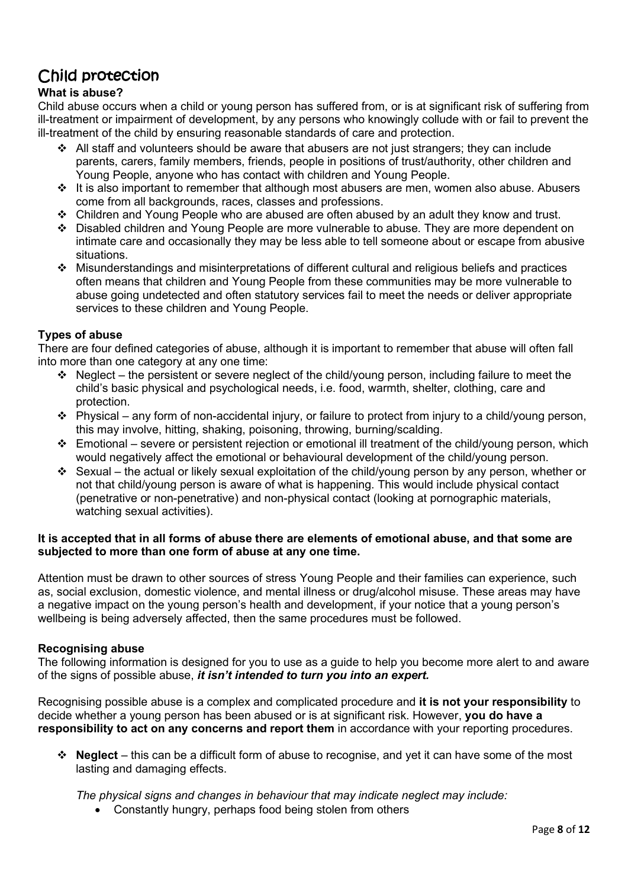# Child protection

### **What is abuse?**

Child abuse occurs when a child or young person has suffered from, or is at significant risk of suffering from ill-treatment or impairment of development, by any persons who knowingly collude with or fail to prevent the ill-treatment of the child by ensuring reasonable standards of care and protection.

- ❖ All staff and volunteers should be aware that abusers are not just strangers; they can include parents, carers, family members, friends, people in positions of trust/authority, other children and Young People, anyone who has contact with children and Young People.
- ❖ It is also important to remember that although most abusers are men, women also abuse. Abusers come from all backgrounds, races, classes and professions.
- ❖ Children and Young People who are abused are often abused by an adult they know and trust.
- ❖ Disabled children and Young People are more vulnerable to abuse. They are more dependent on intimate care and occasionally they may be less able to tell someone about or escape from abusive situations.
- ❖ Misunderstandings and misinterpretations of different cultural and religious beliefs and practices often means that children and Young People from these communities may be more vulnerable to abuse going undetected and often statutory services fail to meet the needs or deliver appropriate services to these children and Young People.

### **Types of abuse**

There are four defined categories of abuse, although it is important to remember that abuse will often fall into more than one category at any one time:

- ❖ Neglect the persistent or severe neglect of the child/young person, including failure to meet the child's basic physical and psychological needs, i.e. food, warmth, shelter, clothing, care and protection.
- ❖ Physical any form of non-accidental injury, or failure to protect from injury to a child/young person, this may involve, hitting, shaking, poisoning, throwing, burning/scalding.
- ❖ Emotional severe or persistent rejection or emotional ill treatment of the child/young person, which would negatively affect the emotional or behavioural development of the child/young person.
- ❖ Sexual the actual or likely sexual exploitation of the child/young person by any person, whether or not that child/young person is aware of what is happening. This would include physical contact (penetrative or non-penetrative) and non-physical contact (looking at pornographic materials, watching sexual activities).

#### **It is accepted that in all forms of abuse there are elements of emotional abuse, and that some are subjected to more than one form of abuse at any one time.**

Attention must be drawn to other sources of stress Young People and their families can experience, such as, social exclusion, domestic violence, and mental illness or drug/alcohol misuse. These areas may have a negative impact on the young person's health and development, if your notice that a young person's wellbeing is being adversely affected, then the same procedures must be followed.

#### **Recognising abuse**

The following information is designed for you to use as a guide to help you become more alert to and aware of the signs of possible abuse, *it isn't intended to turn you into an expert.*

Recognising possible abuse is a complex and complicated procedure and **it is not your responsibility** to decide whether a young person has been abused or is at significant risk. However, **you do have a responsibility to act on any concerns and report them** in accordance with your reporting procedures.

Neglect – this can be a difficult form of abuse to recognise, and yet it can have some of the most lasting and damaging effects.

*The physical signs and changes in behaviour that may indicate neglect may include:*

• Constantly hungry, perhaps food being stolen from others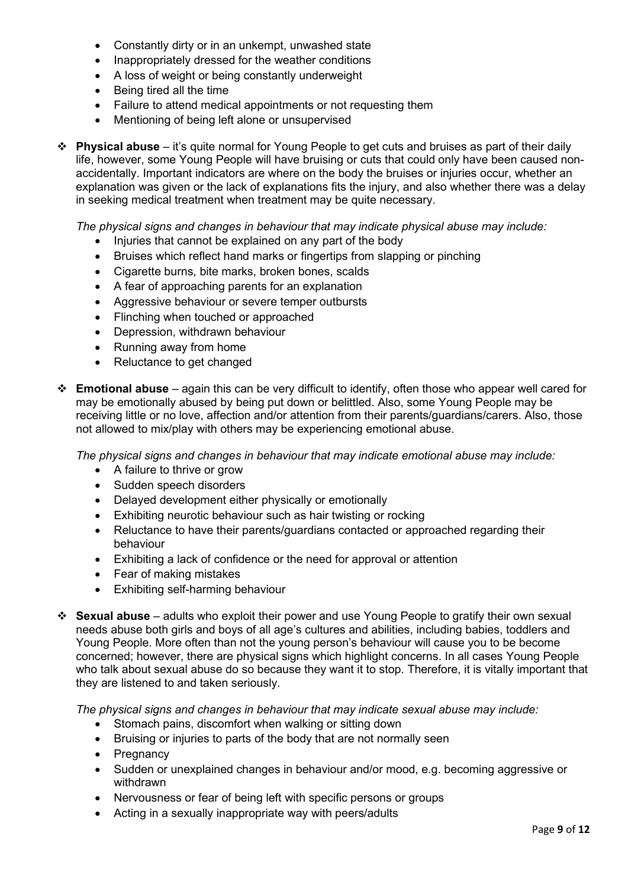- Constantly dirty or in an unkempt, unwashed state
- Inappropriately dressed for the weather conditions
- A loss of weight or being constantly underweight
- Being tired all the time
- Failure to attend medical appointments or not requesting them
- Mentioning of being left alone or unsupervised
- ❖ **Physical abuse**  it's quite normal for Young People to get cuts and bruises as part of their daily life, however, some Young People will have bruising or cuts that could only have been caused nonaccidentally. Important indicators are where on the body the bruises or injuries occur, whether an explanation was given or the lack of explanations fits the injury, and also whether there was a delay in seeking medical treatment when treatment may be quite necessary.

*The physical signs and changes in behaviour that may indicate physical abuse may include:*

- Injuries that cannot be explained on any part of the body
- Bruises which reflect hand marks or fingertips from slapping or pinching
- Cigarette burns, bite marks, broken bones, scalds
- A fear of approaching parents for an explanation
- Aggressive behaviour or severe temper outbursts
- Flinching when touched or approached
- Depression, withdrawn behaviour
- Running away from home
- Reluctance to get changed
- ❖ **Emotional abuse**  again this can be very difficult to identify, often those who appear well cared for may be emotionally abused by being put down or belittled. Also, some Young People may be receiving little or no love, affection and/or attention from their parents/guardians/carers. Also, those not allowed to mix/play with others may be experiencing emotional abuse.

*The physical signs and changes in behaviour that may indicate emotional abuse may include:*

- A failure to thrive or grow
- Sudden speech disorders
- Delayed development either physically or emotionally
- Exhibiting neurotic behaviour such as hair twisting or rocking
- Reluctance to have their parents/guardians contacted or approached regarding their behaviour
- Exhibiting a lack of confidence or the need for approval or attention
- Fear of making mistakes
- Exhibiting self-harming behaviour
- ❖ **Sexual abuse**  adults who exploit their power and use Young People to gratify their own sexual needs abuse both girls and boys of all age's cultures and abilities, including babies, toddlers and Young People. More often than not the young person's behaviour will cause you to be become concerned; however, there are physical signs which highlight concerns. In all cases Young People who talk about sexual abuse do so because they want it to stop. Therefore, it is vitally important that they are listened to and taken seriously.

*The physical signs and changes in behaviour that may indicate sexual abuse may include:* 

- Stomach pains, discomfort when walking or sitting down
- Bruising or injuries to parts of the body that are not normally seen
- Pregnancy
- Sudden or unexplained changes in behaviour and/or mood, e.g. becoming aggressive or withdrawn
- Nervousness or fear of being left with specific persons or groups
- Acting in a sexually inappropriate way with peers/adults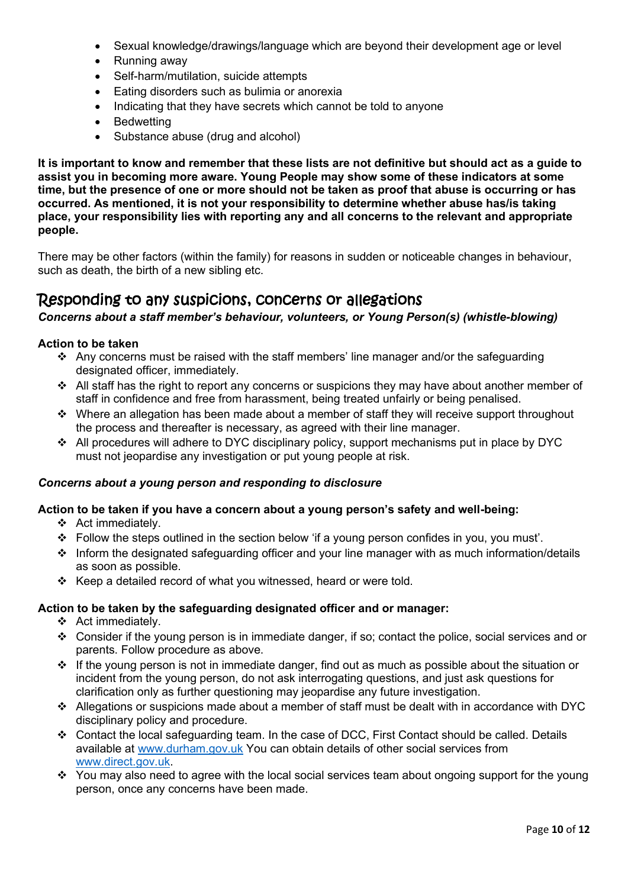- Sexual knowledge/drawings/language which are beyond their development age or level
- Running away
- Self-harm/mutilation, suicide attempts
- Eating disorders such as bulimia or anorexia
- Indicating that they have secrets which cannot be told to anyone
- Bedwetting
- Substance abuse (drug and alcohol)

**It is important to know and remember that these lists are not definitive but should act as a guide to assist you in becoming more aware. Young People may show some of these indicators at some time, but the presence of one or more should not be taken as proof that abuse is occurring or has occurred. As mentioned, it is not your responsibility to determine whether abuse has/is taking place, your responsibility lies with reporting any and all concerns to the relevant and appropriate people.** 

There may be other factors (within the family) for reasons in sudden or noticeable changes in behaviour, such as death, the birth of a new sibling etc.

### Responding to any suspicions, concerns or allegations

*Concerns about a staff member's behaviour, volunteers, or Young Person(s) (whistle-blowing)* 

#### **Action to be taken**

- ❖ Any concerns must be raised with the staff members' line manager and/or the safeguarding designated officer, immediately.
- ❖ All staff has the right to report any concerns or suspicions they may have about another member of staff in confidence and free from harassment, being treated unfairly or being penalised.
- ❖ Where an allegation has been made about a member of staff they will receive support throughout the process and thereafter is necessary, as agreed with their line manager.
- ❖ All procedures will adhere to DYC disciplinary policy, support mechanisms put in place by DYC must not jeopardise any investigation or put young people at risk.

#### *Concerns about a young person and responding to disclosure*

#### **Action to be taken if you have a concern about a young person's safety and well-being:**

- ❖ Act immediately.
- ❖ Follow the steps outlined in the section below 'if a young person confides in you, you must'.
- ❖ Inform the designated safeguarding officer and your line manager with as much information/details as soon as possible.
- ❖ Keep a detailed record of what you witnessed, heard or were told.

#### **Action to be taken by the safeguarding designated officer and or manager:**

- ❖ Act immediately.
- ❖ Consider if the young person is in immediate danger, if so; contact the police, social services and or parents. Follow procedure as above.
- ❖ If the young person is not in immediate danger, find out as much as possible about the situation or incident from the young person, do not ask interrogating questions, and just ask questions for clarification only as further questioning may jeopardise any future investigation.
- ❖ Allegations or suspicions made about a member of staff must be dealt with in accordance with DYC disciplinary policy and procedure.
- ❖ Contact the local safeguarding team. In the case of DCC, First Contact should be called. Details available at [www.durham.gov.uk](http://www.durham.gov.uk/) You can obtain details of other social services from [www.direct.gov.uk.](http://www.direct.gov.uk/)
- ❖ You may also need to agree with the local social services team about ongoing support for the young person, once any concerns have been made.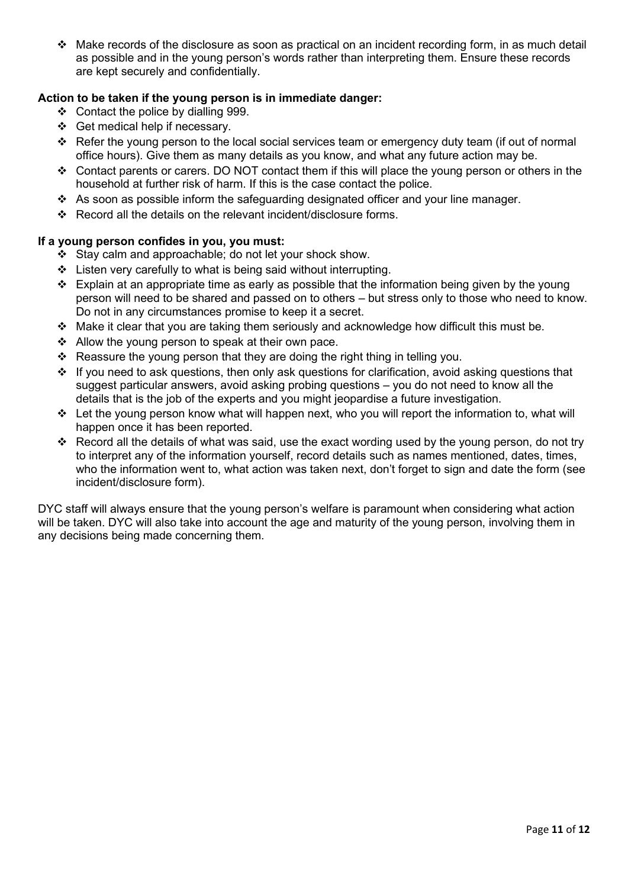❖ Make records of the disclosure as soon as practical on an incident recording form, in as much detail as possible and in the young person's words rather than interpreting them. Ensure these records are kept securely and confidentially.

### **Action to be taken if the young person is in immediate danger:**

- ❖ Contact the police by dialling 999.
- ❖ Get medical help if necessary.
- $\div$  Refer the young person to the local social services team or emergency duty team (if out of normal office hours). Give them as many details as you know, and what any future action may be.
- ❖ Contact parents or carers. DO NOT contact them if this will place the young person or others in the household at further risk of harm. If this is the case contact the police.
- ❖ As soon as possible inform the safeguarding designated officer and your line manager.
- ❖ Record all the details on the relevant incident/disclosure forms.

#### **If a young person confides in you, you must:**

- ❖ Stay calm and approachable; do not let your shock show.
- ❖ Listen very carefully to what is being said without interrupting.
- ❖ Explain at an appropriate time as early as possible that the information being given by the young person will need to be shared and passed on to others – but stress only to those who need to know. Do not in any circumstances promise to keep it a secret.
- ❖ Make it clear that you are taking them seriously and acknowledge how difficult this must be.
- ❖ Allow the young person to speak at their own pace.
- $\div$  Reassure the young person that they are doing the right thing in telling you.
- ❖ If you need to ask questions, then only ask questions for clarification, avoid asking questions that suggest particular answers, avoid asking probing questions – you do not need to know all the details that is the job of the experts and you might jeopardise a future investigation.
- ❖ Let the young person know what will happen next, who you will report the information to, what will happen once it has been reported.
- ❖ Record all the details of what was said, use the exact wording used by the young person, do not try to interpret any of the information yourself, record details such as names mentioned, dates, times, who the information went to, what action was taken next, don't forget to sign and date the form (see incident/disclosure form).

DYC staff will always ensure that the young person's welfare is paramount when considering what action will be taken. DYC will also take into account the age and maturity of the young person, involving them in any decisions being made concerning them.